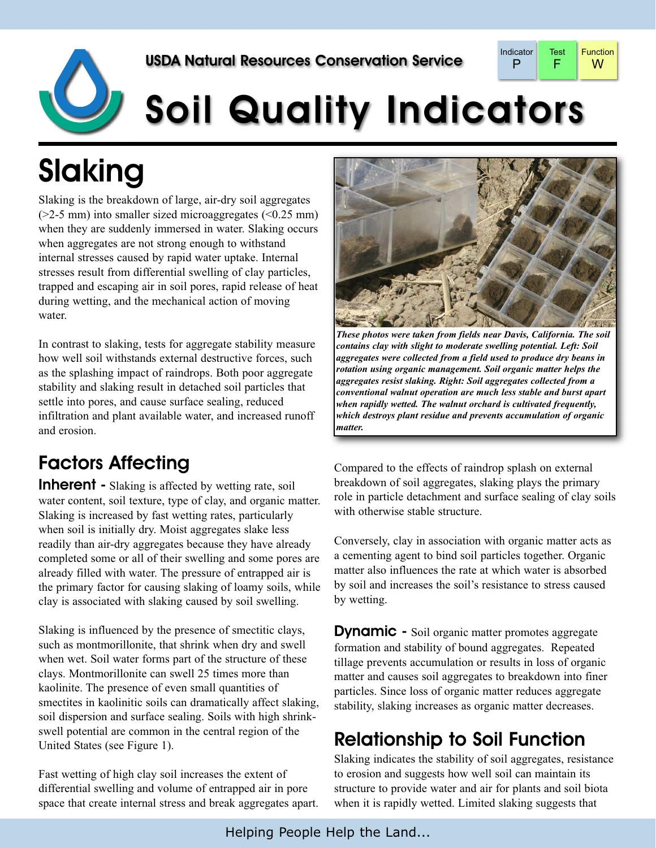



# Soil Quality Indicators

## Slaking

Slaking is the breakdown of large, air-dry soil aggregates  $(2-5 \text{ mm})$  into smaller sized microaggregates  $( $0.25 \text{ mm}$ )$ when they are suddenly immersed in water. Slaking occurs when aggregates are not strong enough to withstand internal stresses caused by rapid water uptake. Internal stresses result from differential swelling of clay particles, trapped and escaping air in soil pores, rapid release of heat during wetting, and the mechanical action of moving water.

In contrast to slaking, tests for aggregate stability measure how well soil withstands external destructive forces, such as the splashing impact of raindrops. Both poor aggregate stability and slaking result in detached soil particles that settle into pores, and cause surface sealing, reduced infiltration and plant available water, and increased runoff and erosion.

#### Factors Affecting

**Inherent** - Slaking is affected by wetting rate, soil water content, soil texture, type of clay, and organic matter. Slaking is increased by fast wetting rates, particularly when soil is initially dry. Moist aggregates slake less readily than air-dry aggregates because they have already completed some or all of their swelling and some pores are already filled with water. The pressure of entrapped air is the primary factor for causing slaking of loamy soils, while clay is associated with slaking caused by soil swelling.

Slaking is influenced by the presence of smectitic clays, such as montmorillonite, that shrink when dry and swell when wet. Soil water forms part of the structure of these clays. Montmorillonite can swell 25 times more than kaolinite. The presence of even small quantities of smectites in kaolinitic soils can dramatically affect slaking, soil dispersion and surface sealing. Soils with high shrinkswell potential are common in the central region of the United States (see Figure 1).

Fast wetting of high clay soil increases the extent of differential swelling and volume of entrapped air in pore space that create internal stress and break aggregates apart.



*These photos were taken from fields near Davis, California. The soil contains clay with slight to moderate swelling potential. Left: Soil aggregates were collected from a field used to produce dry beans in rotation using organic management. Soil organic matter helps the aggregates resist slaking. Right: Soil aggregates collected from a conventional walnut operation are much less stable and burst apart when rapidly wetted. The walnut orchard is cultivated frequently, which destroys plant residue and prevents accumulation of organic matter.*

Compared to the effects of raindrop splash on external breakdown of soil aggregates, slaking plays the primary role in particle detachment and surface sealing of clay soils with otherwise stable structure.

Conversely, clay in association with organic matter acts as a cementing agent to bind soil particles together. Organic matter also influences the rate at which water is absorbed by soil and increases the soil's resistance to stress caused by wetting.

**Dynamic** - Soil organic matter promotes aggregate formation and stability of bound aggregates. Repeated tillage prevents accumulation or results in loss of organic matter and causes soil aggregates to breakdown into finer particles. Since loss of organic matter reduces aggregate stability, slaking increases as organic matter decreases.

#### Relationship to Soil Function

Slaking indicates the stability of soil aggregates, resistance to erosion and suggests how well soil can maintain its structure to provide water and air for plants and soil biota when it is rapidly wetted. Limited slaking suggests that